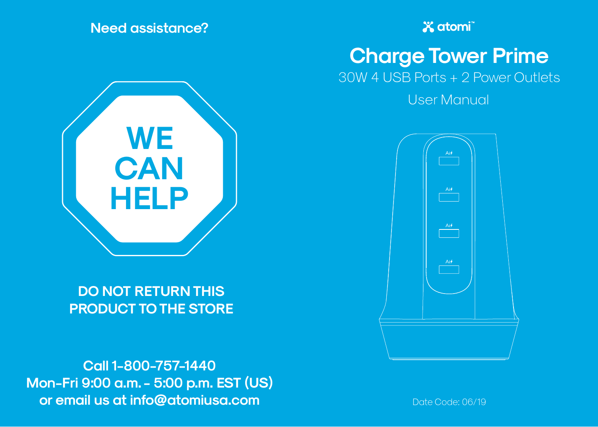**Need assistance?**



**DO NOT RETURN THIS PRODUCT TO THE STORE**

**Call 1-800-757-1440 Mon-Fri 9:00 a.m. - 5:00 p.m. EST (US) or email us at info@atomiusa.com** Date Code: 06/19

**X** atomi

**Charge Tower Prime**

30W 4 USB Ports + 2 Power Outlets

User Manual

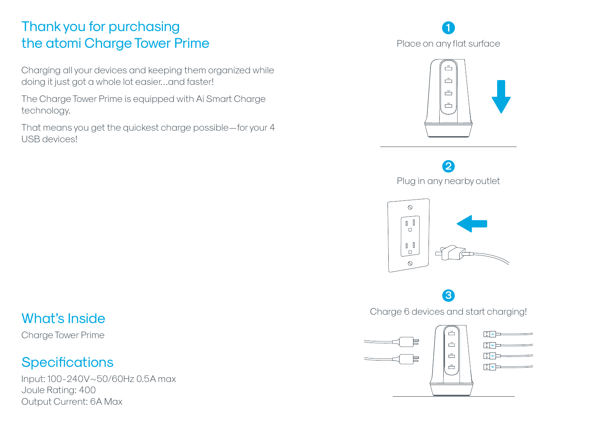#### Thank you for purchasing the atomi Charge Tower Prime

Charging all your devices and keeping them organized while doing it just got a whole lot easier…and faster!

The Charge Tower Prime is equipped with Ai Smart Charge technology.

That means you get the quickest charge possible—for your 4 USB devices!

### **1**Place on any flat surface



**2** Plug in any nearby outlet



# **3**

Charge 6 devices and start charging!



#### What's Inside

Charge Tower Prime

#### **Specifications**

Input: 100-240V~50/60Hz 0.5A max Joule Rating: 400 Output Current: 6A Max